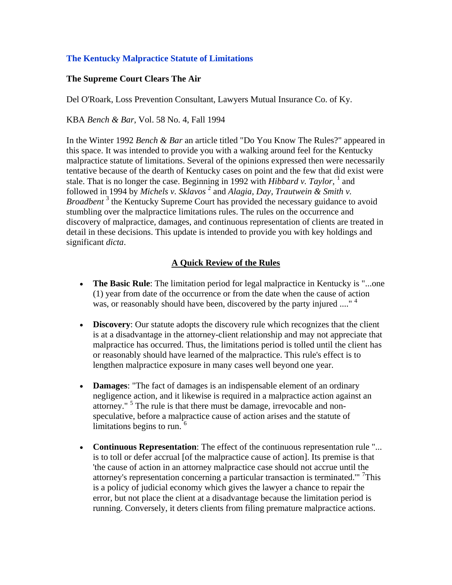## **The Kentucky Malpractice Statute of Limitations**

#### **The Supreme Court Clears The Air**

Del O'Roark, Loss Prevention Consultant, Lawyers Mutual Insurance Co. of Ky.

KBA *Bench & Bar*, Vol. 58 No. 4, Fall 1994

In the Winter 1992 *Bench & Bar* an article titled "Do You Know The Rules?" appeared in this space. It was intended to provide you with a walking around feel for the Kentucky malpractice statute of limitations. Several of the opinions expressed then were necessarily tentative because of the dearth of Kentucky cases on point and the few that did exist were stale. That is no longer the case. Beginning in 1992 with *Hibbard v. Taylor*,  $<sup>1</sup>$  and</sup> followed in 1994 by *Michels v. Sklavos*<sup>2</sup> and *Alagia, Day, Trautwein & Smith v.* Broadbent<sup>3</sup> the Kentucky Supreme Court has provided the necessary guidance to avoid stumbling over the malpractice limitations rules. The rules on the occurrence and discovery of malpractice, damages, and continuous representation of clients are treated in detail in these decisions. This update is intended to provide you with key holdings and significant *dicta*.

## **A Quick Review of the Rules**

- **The Basic Rule**: The limitation period for legal malpractice in Kentucky is "...one (1) year from date of the occurrence or from the date when the cause of action was, or reasonably should have been, discovered by the party injured ...."<sup>4</sup>
- **Discovery:** Our statute adopts the discovery rule which recognizes that the client is at a disadvantage in the attorney-client relationship and may not appreciate that malpractice has occurred. Thus, the limitations period is tolled until the client has or reasonably should have learned of the malpractice. This rule's effect is to lengthen malpractice exposure in many cases well beyond one year.
- **Damages**: "The fact of damages is an indispensable element of an ordinary negligence action, and it likewise is required in a malpractice action against an attorney."<sup>5</sup> The rule is that there must be damage, irrevocable and nonspeculative, before a malpractice cause of action arises and the statute of limitations begins to run.<sup>6</sup>
- **Continuous Representation**: The effect of the continuous representation rule "... is to toll or defer accrual [of the malpractice cause of action]. Its premise is that 'the cause of action in an attorney malpractice case should not accrue until the attorney's representation concerning a particular transaction is terminated.'" 7 This is a policy of judicial economy which gives the lawyer a chance to repair the error, but not place the client at a disadvantage because the limitation period is running. Conversely, it deters clients from filing premature malpractice actions.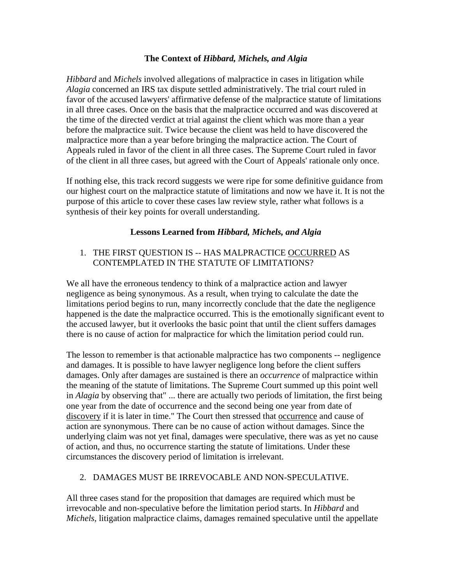## **The Context of** *Hibbard, Michels, and Algia*

*Hibbard* and *Michels* involved allegations of malpractice in cases in litigation while *Alagia* concerned an IRS tax dispute settled administratively. The trial court ruled in favor of the accused lawyers' affirmative defense of the malpractice statute of limitations in all three cases. Once on the basis that the malpractice occurred and was discovered at the time of the directed verdict at trial against the client which was more than a year before the malpractice suit. Twice because the client was held to have discovered the malpractice more than a year before bringing the malpractice action. The Court of Appeals ruled in favor of the client in all three cases. The Supreme Court ruled in favor of the client in all three cases, but agreed with the Court of Appeals' rationale only once.

If nothing else, this track record suggests we were ripe for some definitive guidance from our highest court on the malpractice statute of limitations and now we have it. It is not the purpose of this article to cover these cases law review style, rather what follows is a synthesis of their key points for overall understanding.

# **Lessons Learned from** *Hibbard, Michels, and Algia*

# 1. THE FIRST QUESTION IS -- HAS MALPRACTICE OCCURRED AS CONTEMPLATED IN THE STATUTE OF LIMITATIONS?

We all have the erroneous tendency to think of a malpractice action and lawyer negligence as being synonymous. As a result, when trying to calculate the date the limitations period begins to run, many incorrectly conclude that the date the negligence happened is the date the malpractice occurred. This is the emotionally significant event to the accused lawyer, but it overlooks the basic point that until the client suffers damages there is no cause of action for malpractice for which the limitation period could run.

The lesson to remember is that actionable malpractice has two components -- negligence and damages. It is possible to have lawyer negligence long before the client suffers damages. Only after damages are sustained is there an *occurrence* of malpractice within the meaning of the statute of limitations. The Supreme Court summed up this point well in *Alagia* by observing that" ... there are actually two periods of limitation, the first being one year from the date of occurrence and the second being one year from date of discovery if it is later in time." The Court then stressed that occurrence and cause of action are synonymous. There can be no cause of action without damages. Since the underlying claim was not yet final, damages were speculative, there was as yet no cause of action, and thus, no occurrence starting the statute of limitations. Under these circumstances the discovery period of limitation is irrelevant.

## 2. DAMAGES MUST BE IRREVOCABLE AND NON-SPECULATIVE.

All three cases stand for the proposition that damages are required which must be irrevocable and non-speculative before the limitation period starts. In *Hibbard* and *Michels*, litigation malpractice claims, damages remained speculative until the appellate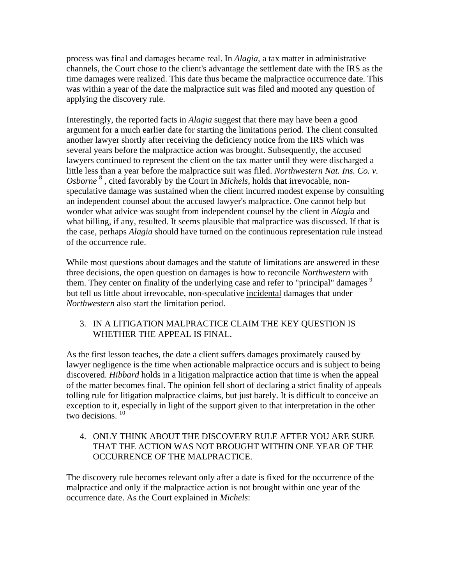process was final and damages became real. In *Alagia*, a tax matter in administrative channels, the Court chose to the client's advantage the settlement date with the IRS as the time damages were realized. This date thus became the malpractice occurrence date. This was within a year of the date the malpractice suit was filed and mooted any question of applying the discovery rule.

Interestingly, the reported facts in *Alagia* suggest that there may have been a good argument for a much earlier date for starting the limitations period. The client consulted another lawyer shortly after receiving the deficiency notice from the IRS which was several years before the malpractice action was brought. Subsequently, the accused lawyers continued to represent the client on the tax matter until they were discharged a little less than a year before the malpractice suit was filed. *Northwestern Nat. Ins. Co. v.*  Osborne<sup>8</sup>, cited favorably by the Court in *Michels*, holds that irrevocable, nonspeculative damage was sustained when the client incurred modest expense by consulting an independent counsel about the accused lawyer's malpractice. One cannot help but wonder what advice was sought from independent counsel by the client in *Alagia* and what billing, if any, resulted. It seems plausible that malpractice was discussed. If that is the case, perhaps *Alagia* should have turned on the continuous representation rule instead of the occurrence rule.

While most questions about damages and the statute of limitations are answered in these three decisions, the open question on damages is how to reconcile *Northwestern* with them. They center on finality of the underlying case and refer to "principal" damages <sup>9</sup> but tell us little about irrevocable, non-speculative incidental damages that under *Northwestern* also start the limitation period.

## 3. IN A LITIGATION MALPRACTICE CLAIM THE KEY QUESTION IS WHETHER THE APPEAL IS FINAL.

As the first lesson teaches, the date a client suffers damages proximately caused by lawyer negligence is the time when actionable malpractice occurs and is subject to being discovered. *Hibbard* holds in a litigation malpractice action that time is when the appeal of the matter becomes final. The opinion fell short of declaring a strict finality of appeals tolling rule for litigation malpractice claims, but just barely. It is difficult to conceive an exception to it, especially in light of the support given to that interpretation in the other two decisions.<sup>10</sup>

# 4. ONLY THINK ABOUT THE DISCOVERY RULE AFTER YOU ARE SURE THAT THE ACTION WAS NOT BROUGHT WITHIN ONE YEAR OF THE OCCURRENCE OF THE MALPRACTICE.

The discovery rule becomes relevant only after a date is fixed for the occurrence of the malpractice and only if the malpractice action is not brought within one year of the occurrence date. As the Court explained in *Michels*: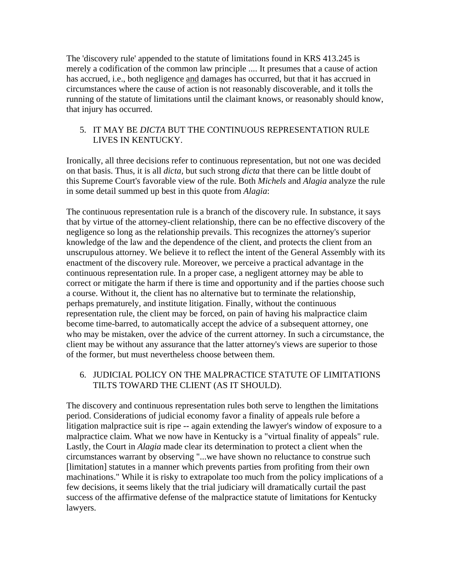The 'discovery rule' appended to the statute of limitations found in KRS 413.245 is merely a codification of the common law principle .... It presumes that a cause of action has accrued, i.e., both negligence and damages has occurred, but that it has accrued in circumstances where the cause of action is not reasonably discoverable, and it tolls the running of the statute of limitations until the claimant knows, or reasonably should know, that injury has occurred.

#### 5. IT MAY BE *DICTA* BUT THE CONTINUOUS REPRESENTATION RULE LIVES IN KENTUCKY.

Ironically, all three decisions refer to continuous representation, but not one was decided on that basis. Thus, it is all *dicta*, but such strong *dicta* that there can be little doubt of this Supreme Court's favorable view of the rule. Both *Michels* and *Alagia* analyze the rule in some detail summed up best in this quote from *Alagia*:

The continuous representation rule is a branch of the discovery rule. In substance, it says that by virtue of the attorney-client relationship, there can be no effective discovery of the negligence so long as the relationship prevails. This recognizes the attorney's superior knowledge of the law and the dependence of the client, and protects the client from an unscrupulous attorney. We believe it to reflect the intent of the General Assembly with its enactment of the discovery rule. Moreover, we perceive a practical advantage in the continuous representation rule. In a proper case, a negligent attorney may be able to correct or mitigate the harm if there is time and opportunity and if the parties choose such a course. Without it, the client has no alternative but to terminate the relationship, perhaps prematurely, and institute litigation. Finally, without the continuous representation rule, the client may be forced, on pain of having his malpractice claim become time-barred, to automatically accept the advice of a subsequent attorney, one who may be mistaken, over the advice of the current attorney. In such a circumstance, the client may be without any assurance that the latter attorney's views are superior to those of the former, but must nevertheless choose between them.

## 6. JUDICIAL POLICY ON THE MALPRACTICE STATUTE OF LIMITATIONS TILTS TOWARD THE CLIENT (AS IT SHOULD).

The discovery and continuous representation rules both serve to lengthen the limitations period. Considerations of judicial economy favor a finality of appeals rule before a litigation malpractice suit is ripe -- again extending the lawyer's window of exposure to a malpractice claim. What we now have in Kentucky is a "virtual finality of appeals" rule. Lastly, the Court in *Alagia* made clear its determination to protect a client when the circumstances warrant by observing "...we have shown no reluctance to construe such [limitation] statutes in a manner which prevents parties from profiting from their own machinations." While it is risky to extrapolate too much from the policy implications of a few decisions, it seems likely that the trial judiciary will dramatically curtail the past success of the affirmative defense of the malpractice statute of limitations for Kentucky lawyers.